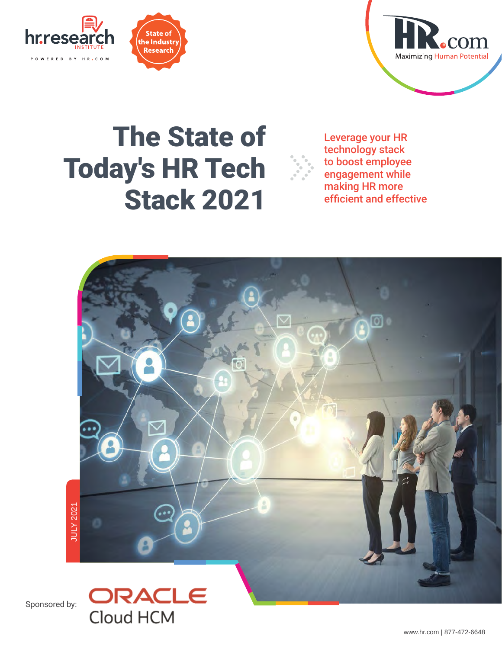





## The State of Leverage your HR Today's HR Tech Stack 2021 efficient and effective



technology stack to boost employee engagement while making HR more

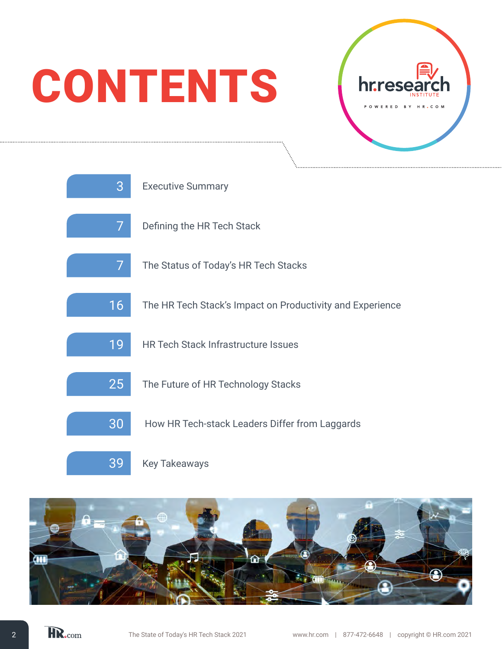# **CONTENTS**





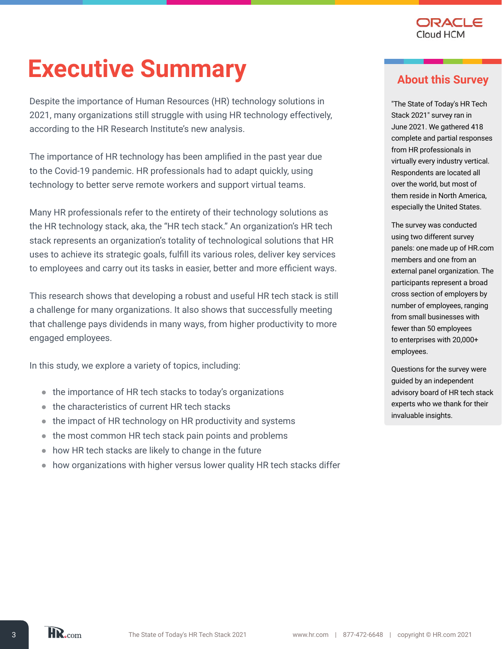

## **Executive Summary**

Despite the importance of Human Resources (HR) technology solutions in 2021, many organizations still struggle with using HR technology effectively, according to the HR Research Institute's new analysis.

The importance of HR technology has been amplified in the past year due to the Covid-19 pandemic. HR professionals had to adapt quickly, using technology to better serve remote workers and support virtual teams.

Many HR professionals refer to the entirety of their technology solutions as the HR technology stack, aka, the "HR tech stack." An organization's HR tech stack represents an organization's totality of technological solutions that HR uses to achieve its strategic goals, fulfill its various roles, deliver key services to employees and carry out its tasks in easier, better and more efficient ways.

This research shows that developing a robust and useful HR tech stack is still a challenge for many organizations. It also shows that successfully meeting that challenge pays dividends in many ways, from higher productivity to more engaged employees.

In this study, we explore a variety of topics, including:

- the importance of HR tech stacks to today's organizations
- the characteristics of current HR tech stacks
- the impact of HR technology on HR productivity and systems
- the most common HR tech stack pain points and problems
- how HR tech stacks are likely to change in the future
- how organizations with higher versus lower quality HR tech stacks differ

#### **About this Survey**

"The State of Today's HR Tech Stack 2021" survey ran in June 2021. We gathered 418 complete and partial responses from HR professionals in virtually every industry vertical. Respondents are located all over the world, but most of them reside in North America, especially the United States.

The survey was conducted using two different survey panels: one made up of HR.com members and one from an external panel organization. The participants represent a broad cross section of employers by number of employees, ranging from small businesses with fewer than 50 employees to enterprises with 20,000+ employees.

Questions for the survey were guided by an independent advisory board of HR tech stack experts who we thank for their invaluable insights.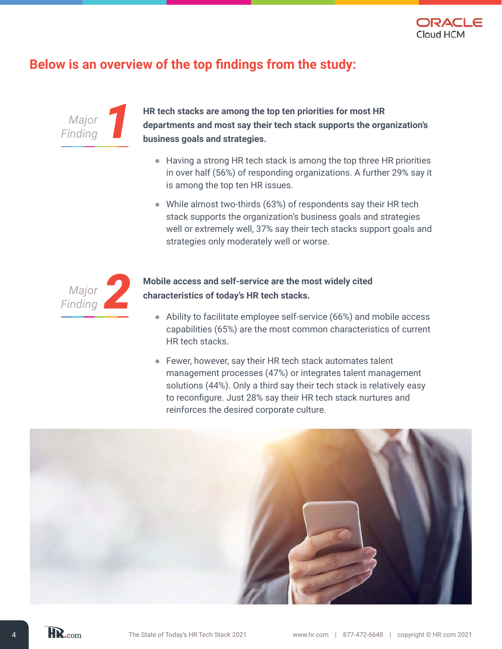

#### **Below is an overview of the top findings from the study:**



**HR tech stacks are among the top ten priorities for most HR departments and most say their tech stack supports the organization's business goals and strategies.** 

- Having a strong HR tech stack is among the top three HR priorities in over half (56%) of responding organizations. A further 29% say it is among the top ten HR issues.
- While almost two-thirds (63%) of respondents say their HR tech stack supports the organization's business goals and strategies well or extremely well, 37% say their tech stacks support goals and strategies only moderately well or worse.



#### **Mobile access and self-service are the most widely cited characteristics of today's HR tech stacks.**

- Ability to facilitate employee self-service (66%) and mobile access capabilities (65%) are the most common characteristics of current HR tech stacks.
- Fewer, however, say their HR tech stack automates talent management processes (47%) or integrates talent management solutions (44%). Only a third say their tech stack is relatively easy to reconfigure. Just 28% say their HR tech stack nurtures and reinforces the desired corporate culture.

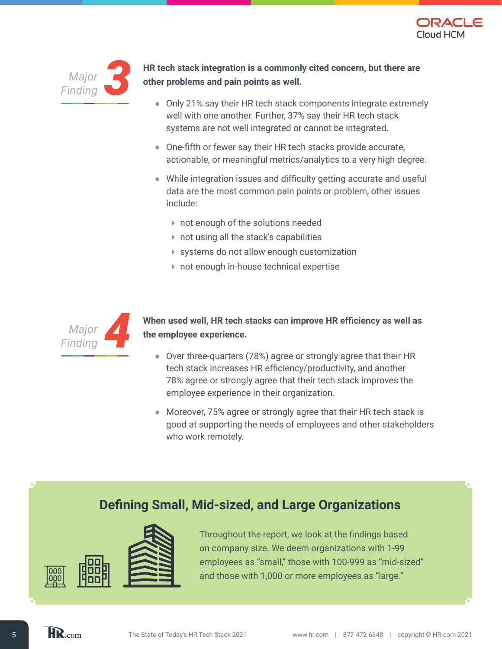



**HR tech stack integration is a commonly cited concern, but there are other problems and pain points as well.** 

- Only 21% say their HR tech stack components integrate extremely well with one another. Further, 37% say their HR tech stack systems are not well integrated or cannot be integrated.
- One-fifth or fewer say their HR tech stacks provide accurate, actionable, or meaningful metrics/analytics to a very high degree.
- While integration issues and difficulty getting accurate and useful data are the most common pain points or problem, other issues include:
	- not enough of the solutions needed
	- not using all the stack's capabilities
	- systems do not allow enough customization
	- not enough in-house technical expertise



#### **When used well, HR tech stacks can improve HR efficiency as well as the employee experience.**

- Over three-quarters (78%) agree or strongly agree that their HR tech stack increases HR efficiency/productivity, and another 78% agree or strongly agree that their tech stack improves the employee experience in their organization.
- Moreover, 75% agree or strongly agree that their HR tech stack is good at supporting the needs of employees and other stakeholders who work remotely.

### **Defining Small, Mid-sized, and Large Organizations**



Throughout the report, we look at the findings based on company size. We deem organizations with 1-99 employees as "small," those with 100-999 as "mid-sized" and those with 1,000 or more employees as "large."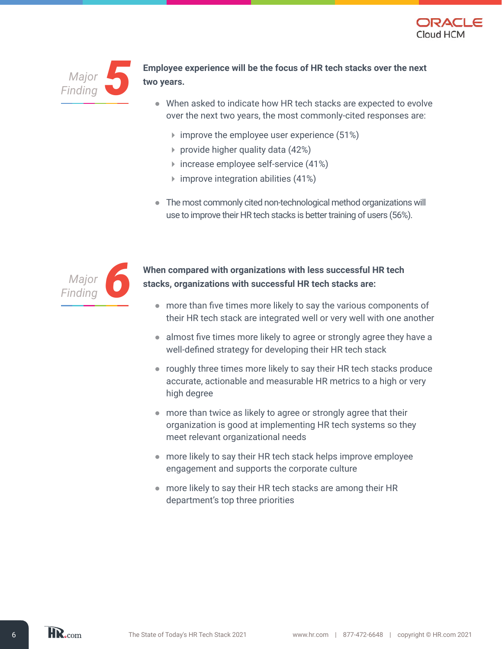



*Finding5* **Employee experience will be the focus of HR tech stacks over the next two years.** 

- When asked to indicate how HR tech stacks are expected to evolve over the next two years, the most commonly-cited responses are:
	- $\triangleright$  improve the employee user experience (51%)
	- provide higher quality data (42%)
	- $\triangleright$  increase employee self-service (41%)
	- $\triangleright$  improve integration abilities (41%)
- The most commonly cited non-technological method organizations will use to improve their HR tech stacks is better training of users (56%).



*Finding6* **When compared with organizations with less successful HR tech stacks, organizations with successful HR tech stacks are:** 

- more than five times more likely to say the various components of their HR tech stack are integrated well or very well with one another
- almost five times more likely to agree or strongly agree they have a well-defined strategy for developing their HR tech stack
- roughly three times more likely to say their HR tech stacks produce accurate, actionable and measurable HR metrics to a high or very high degree
- more than twice as likely to agree or strongly agree that their organization is good at implementing HR tech systems so they meet relevant organizational needs
- more likely to say their HR tech stack helps improve employee engagement and supports the corporate culture
- more likely to say their HR tech stacks are among their HR department's top three priorities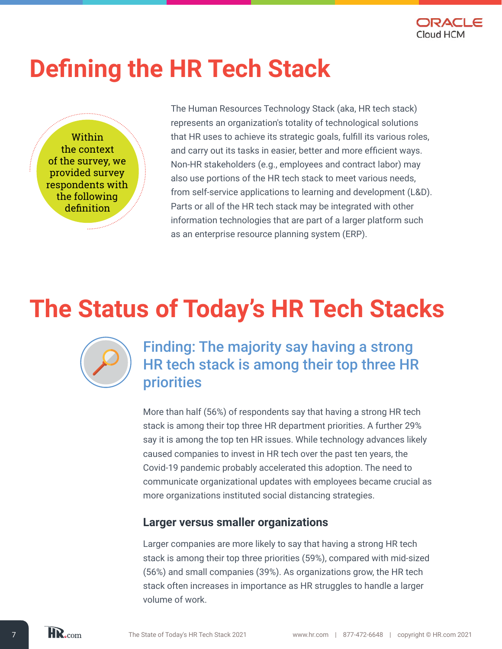

## **Defining the HR Tech Stack**

Within the context of the survey, we provided survey respondents with the following definition

The Human Resources Technology Stack (aka, HR tech stack) represents an organization's totality of technological solutions that HR uses to achieve its strategic goals, fulfill its various roles, and carry out its tasks in easier, better and more efficient ways. Non-HR stakeholders (e.g., employees and contract labor) may also use portions of the HR tech stack to meet various needs, from self-service applications to learning and development (L&D). Parts or all of the HR tech stack may be integrated with other information technologies that are part of a larger platform such as an enterprise resource planning system (ERP).

## **The Status of Today's HR Tech Stacks**

Finding: The majority say having a strong HR tech stack is among their top three HR priorities

More than half (56%) of respondents say that having a strong HR tech stack is among their top three HR department priorities. A further 29% say it is among the top ten HR issues. While technology advances likely caused companies to invest in HR tech over the past ten years, the Covid-19 pandemic probably accelerated this adoption. The need to communicate organizational updates with employees became crucial as more organizations instituted social distancing strategies.

#### **Larger versus smaller organizations**

Larger companies are more likely to say that having a strong HR tech stack is among their top three priorities (59%), compared with mid-sized (56%) and small companies (39%). As organizations grow, the HR tech stack often increases in importance as HR struggles to handle a larger volume of work.

HR.com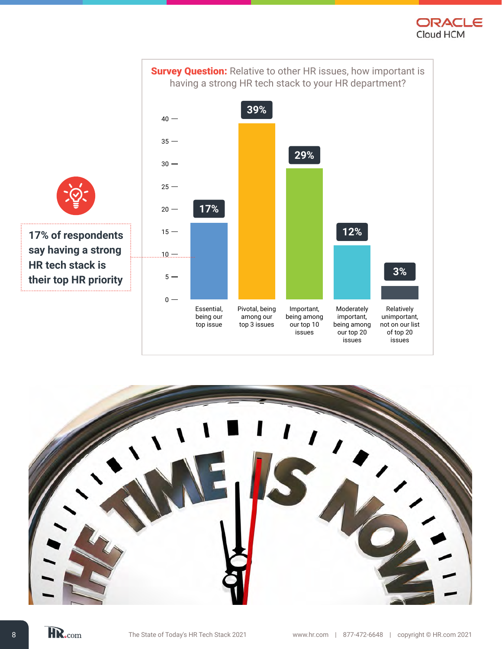



**17% of respondents say having a strong HR tech stack is their top HR priority**  

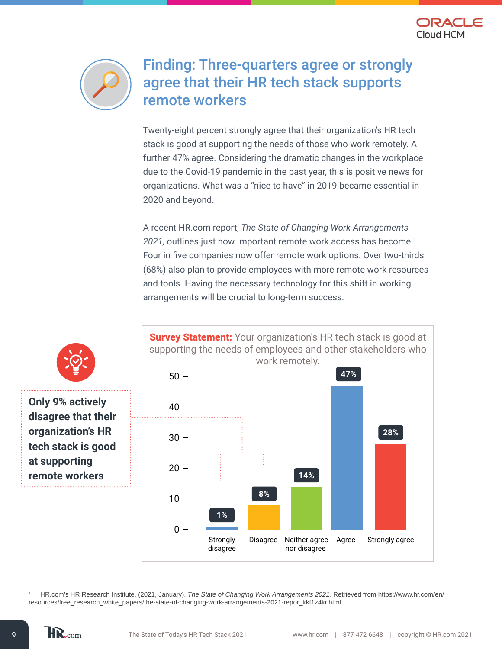



### Finding: Three-quarters agree or strongly agree that their HR tech stack supports remote workers

Twenty-eight percent strongly agree that their organization's HR tech stack is good at supporting the needs of those who work remotely. A further 47% agree. Considering the dramatic changes in the workplace due to the Covid-19 pandemic in the past year, this is positive news for organizations. What was a "nice to have" in 2019 became essential in 2020 and beyond.

A recent HR.com report, *The State of Changing Work Arrangements 2021,* outlines just how important remote work access has become.<sup>1</sup> Four in five companies now offer remote work options. Over two-thirds (68%) also plan to provide employees with more remote work resources and tools. Having the necessary technology for this shift in working arrangements will be crucial to long-term success.







**Only 9% actively disagree that their organization's HR tech stack is good at supporting remote workers**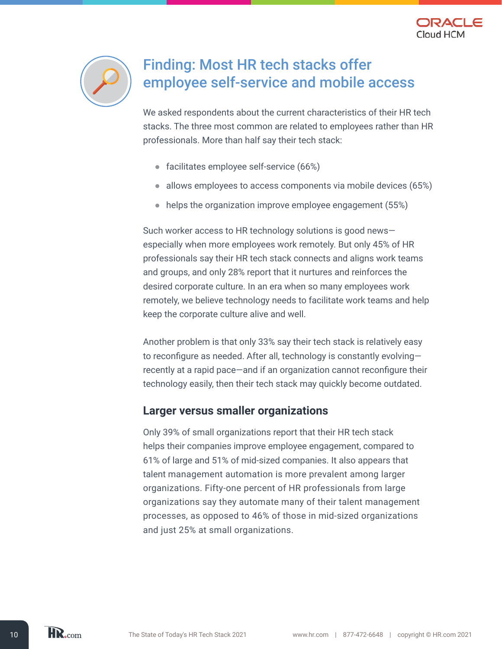



## Finding: Most HR tech stacks offer employee self-service and mobile access

We asked respondents about the current characteristics of their HR tech stacks. The three most common are related to employees rather than HR professionals. More than half say their tech stack:

- facilitates employee self-service (66%)
- allows employees to access components via mobile devices (65%)
- helps the organization improve employee engagement (55%)

Such worker access to HR technology solutions is good news especially when more employees work remotely. But only 45% of HR professionals say their HR tech stack connects and aligns work teams and groups, and only 28% report that it nurtures and reinforces the desired corporate culture. In an era when so many employees work remotely, we believe technology needs to facilitate work teams and help keep the corporate culture alive and well.

Another problem is that only 33% say their tech stack is relatively easy to reconfigure as needed. After all, technology is constantly evolving recently at a rapid pace—and if an organization cannot reconfigure their technology easily, then their tech stack may quickly become outdated.

#### **Larger versus smaller organizations**

Only 39% of small organizations report that their HR tech stack helps their companies improve employee engagement, compared to 61% of large and 51% of mid-sized companies. It also appears that talent management automation is more prevalent among larger organizations. Fifty-one percent of HR professionals from large organizations say they automate many of their talent management processes, as opposed to 46% of those in mid-sized organizations and just 25% at small organizations.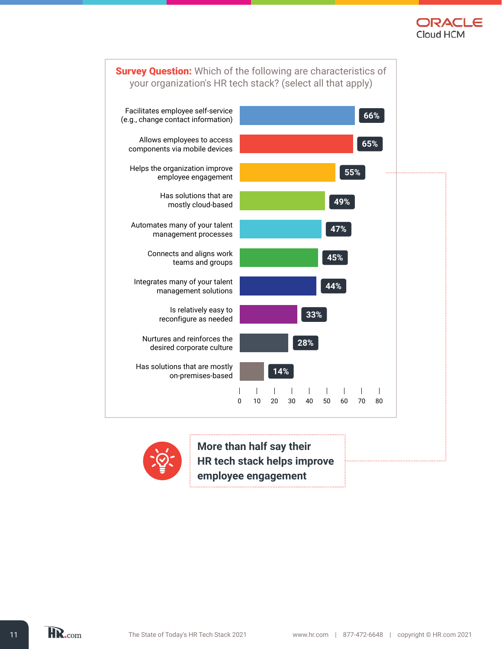





**More than half say their HR tech stack helps improve employee engagement**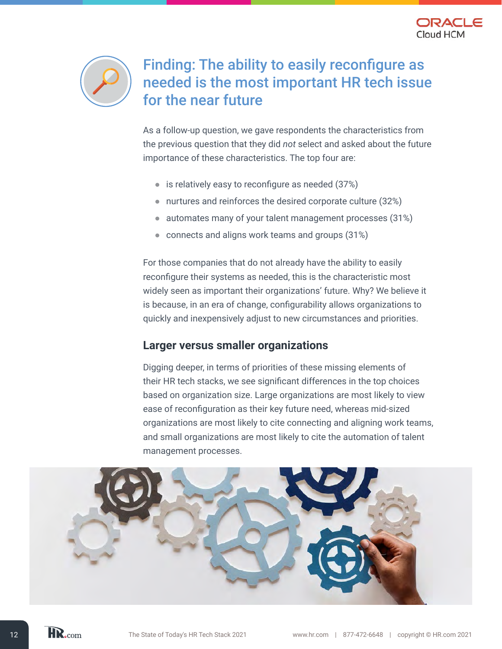



## Finding: The ability to easily reconfigure as needed is the most important HR tech issue for the near future

As a follow-up question, we gave respondents the characteristics from the previous question that they did *not* select and asked about the future importance of these characteristics. The top four are:

- $\bullet$  is relatively easy to reconfigure as needed (37%)
- nurtures and reinforces the desired corporate culture (32%)
- automates many of your talent management processes (31%)
- connects and aligns work teams and groups (31%)

For those companies that do not already have the ability to easily reconfigure their systems as needed, this is the characteristic most widely seen as important their organizations' future. Why? We believe it is because, in an era of change, configurability allows organizations to quickly and inexpensively adjust to new circumstances and priorities.

#### **Larger versus smaller organizations**

Digging deeper, in terms of priorities of these missing elements of their HR tech stacks, we see significant differences in the top choices based on organization size. Large organizations are most likely to view ease of reconfiguration as their key future need, whereas mid-sized organizations are most likely to cite connecting and aligning work teams, and small organizations are most likely to cite the automation of talent management processes.

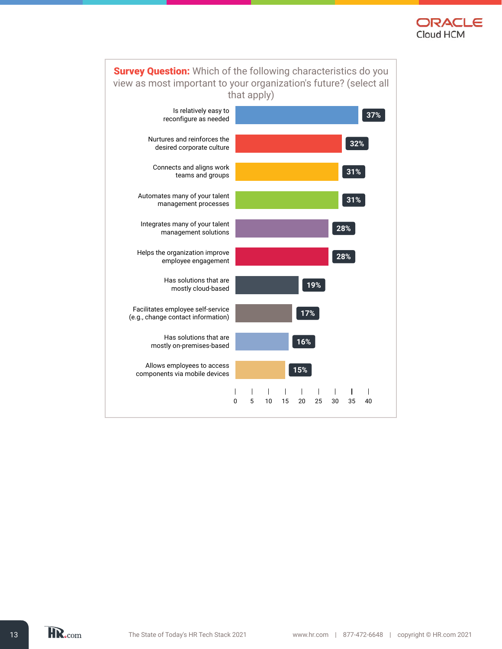

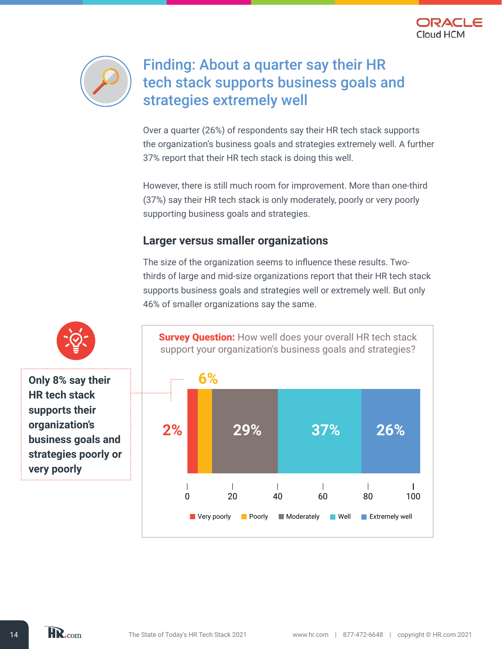



## Finding: About a quarter say their HR tech stack supports business goals and strategies extremely well

Over a quarter (26%) of respondents say their HR tech stack supports the organization's business goals and strategies extremely well. A further 37% report that their HR tech stack is doing this well.

However, there is still much room for improvement. More than one-third (37%) say their HR tech stack is only moderately, poorly or very poorly supporting business goals and strategies.

#### **Larger versus smaller organizations**

The size of the organization seems to influence these results. Twothirds of large and mid-size organizations report that their HR tech stack supports business goals and strategies well or extremely well. But only 46% of smaller organizations say the same.



**Only 8% say their HR tech stack supports their organization's business goals and** 

**very poorly**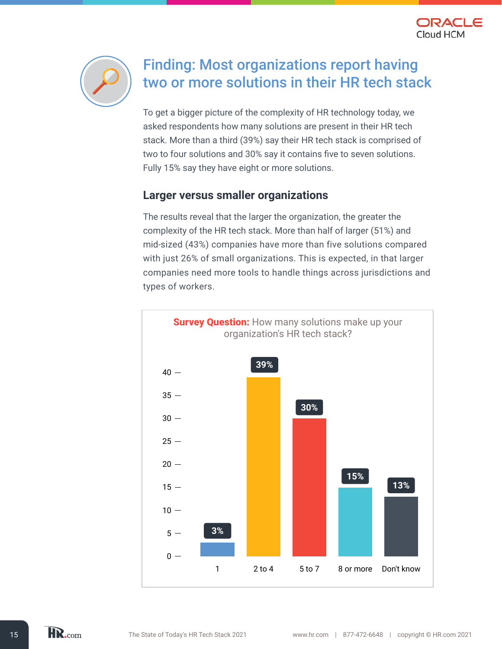



## Finding: Most organizations report having two or more solutions in their HR tech stack

To get a bigger picture of the complexity of HR technology today, we asked respondents how many solutions are present in their HR tech stack. More than a third (39%) say their HR tech stack is comprised of two to four solutions and 30% say it contains five to seven solutions. Fully 15% say they have eight or more solutions.

#### **Larger versus smaller organizations**

The results reveal that the larger the organization, the greater the complexity of the HR tech stack. More than half of larger (51%) and mid-sized (43%) companies have more than five solutions compared with just 26% of small organizations. This is expected, in that larger companies need more tools to handle things across jurisdictions and types of workers.



HR.com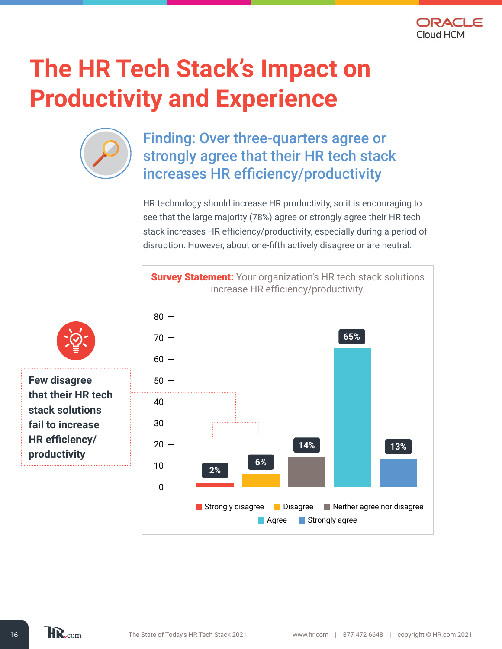

## **The HR Tech Stack's Impact on Productivity and Experience**



## Finding: Over three-quarters agree or strongly agree that their HR tech stack increases HR efficiency/productivity

HR technology should increase HR productivity, so it is encouraging to see that the large majority (78%) agree or strongly agree their HR tech stack increases HR efficiency/productivity, especially during a period of disruption. However, about one-fifth actively disagree or are neutral.

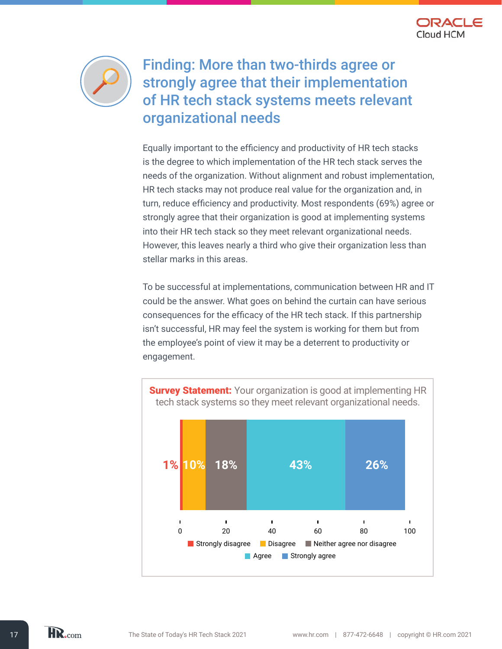



Finding: More than two-thirds agree or strongly agree that their implementation of HR tech stack systems meets relevant organizational needs

Equally important to the efficiency and productivity of HR tech stacks is the degree to which implementation of the HR tech stack serves the needs of the organization. Without alignment and robust implementation, HR tech stacks may not produce real value for the organization and, in turn, reduce efficiency and productivity. Most respondents (69%) agree or strongly agree that their organization is good at implementing systems into their HR tech stack so they meet relevant organizational needs. However, this leaves nearly a third who give their organization less than stellar marks in this areas.

To be successful at implementations, communication between HR and IT could be the answer. What goes on behind the curtain can have serious consequences for the efficacy of the HR tech stack. If this partnership isn't successful, HR may feel the system is working for them but from the employee's point of view it may be a deterrent to productivity or engagement.

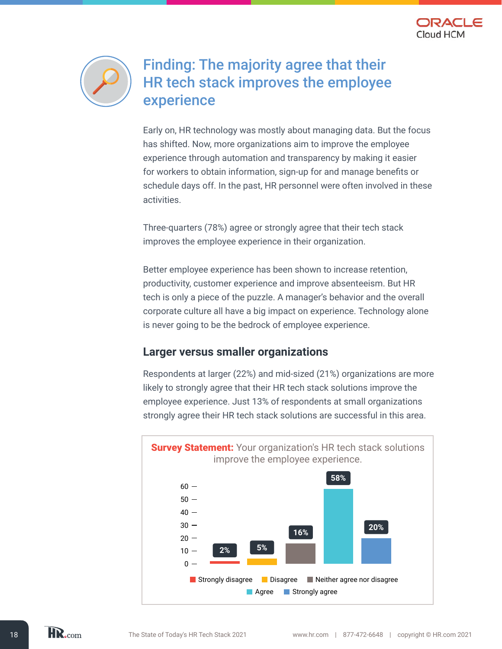



### Finding: The majority agree that their HR tech stack improves the employee experience

Early on, HR technology was mostly about managing data. But the focus has shifted. Now, more organizations aim to improve the employee experience through automation and transparency by making it easier for workers to obtain information, sign-up for and manage benefits or schedule days off. In the past, HR personnel were often involved in these activities.

Three-quarters (78%) agree or strongly agree that their tech stack improves the employee experience in their organization.

Better employee experience has been shown to increase retention, productivity, customer experience and improve absenteeism. But HR tech is only a piece of the puzzle. A manager's behavior and the overall corporate culture all have a big impact on experience. Technology alone is never going to be the bedrock of employee experience.

#### **Larger versus smaller organizations**

Respondents at larger (22%) and mid-sized (21%) organizations are more likely to strongly agree that their HR tech stack solutions improve the employee experience. Just 13% of respondents at small organizations strongly agree their HR tech stack solutions are successful in this area.

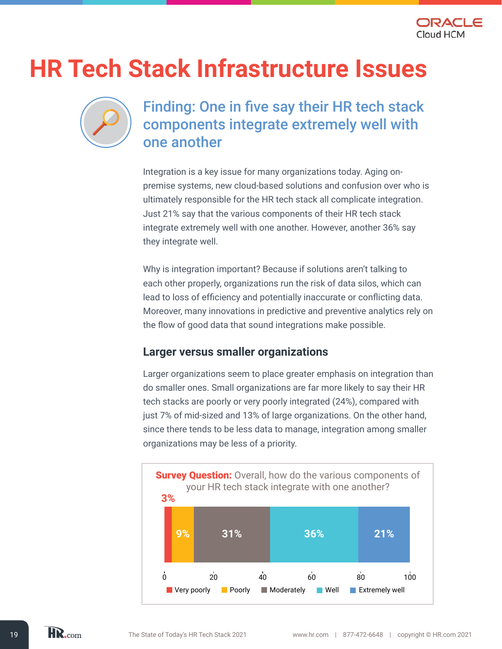

## **HR Tech Stack Infrastructure Issues**



## Finding: One in five say their HR tech stack components integrate extremely well with one another

Integration is a key issue for many organizations today. Aging onpremise systems, new cloud-based solutions and confusion over who is ultimately responsible for the HR tech stack all complicate integration. Just 21% say that the various components of their HR tech stack integrate extremely well with one another. However, another 36% say they integrate well.

Why is integration important? Because if solutions aren't talking to each other properly, organizations run the risk of data silos, which can lead to loss of efficiency and potentially inaccurate or conflicting data. Moreover, many innovations in predictive and preventive analytics rely on the flow of good data that sound integrations make possible.

#### **Larger versus smaller organizations**

Larger organizations seem to place greater emphasis on integration than do smaller ones. Small organizations are far more likely to say their HR tech stacks are poorly or very poorly integrated (24%), compared with just 7% of mid-sized and 13% of large organizations. On the other hand, since there tends to be less data to manage, integration among smaller organizations may be less of a priority.



HR.com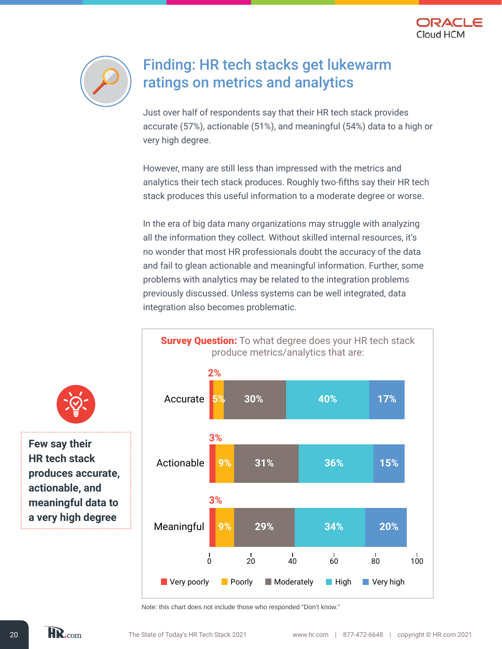



## Finding: HR tech stacks get lukewarm ratings on metrics and analytics

Just over half of respondents say that their HR tech stack provides accurate (57%), actionable (51%), and meaningful (54%) data to a high or very high degree.

However, many are still less than impressed with the metrics and analytics their tech stack produces. Roughly two-fifths say their HR tech stack produces this useful information to a moderate degree or worse.

In the era of big data many organizations may struggle with analyzing all the information they collect. Without skilled internal resources, it's no wonder that most HR professionals doubt the accuracy of the data and fail to glean actionable and meaningful information. Further, some problems with analytics may be related to the integration problems previously discussed. Unless systems can be well integrated, data integration also becomes problematic.



**Few say their** 

**HR tech stack produces accurate, actionable, and meaningful data to a very high degree** 

Note: this chart does not include those who responded "Don't know."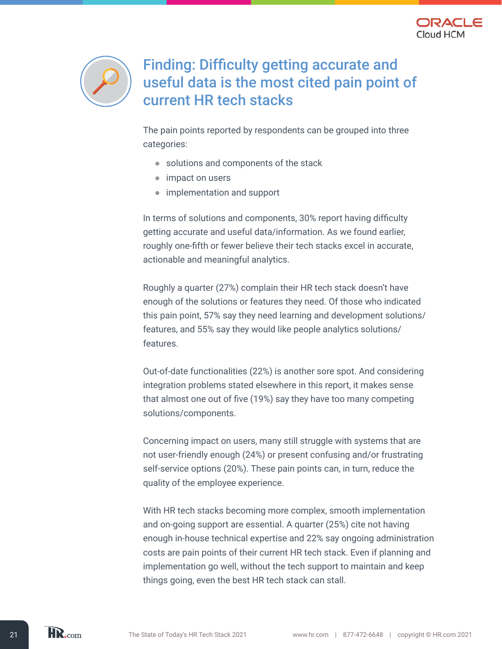



## Finding: Difficulty getting accurate and useful data is the most cited pain point of current HR tech stacks

The pain points reported by respondents can be grouped into three categories:

- solutions and components of the stack
- impact on users
- implementation and support

In terms of solutions and components, 30% report having difficulty getting accurate and useful data/information. As we found earlier, roughly one-fifth or fewer believe their tech stacks excel in accurate, actionable and meaningful analytics.

Roughly a quarter (27%) complain their HR tech stack doesn't have enough of the solutions or features they need. Of those who indicated this pain point, 57% say they need learning and development solutions/ features, and 55% say they would like people analytics solutions/ features.

Out-of-date functionalities (22%) is another sore spot. And considering integration problems stated elsewhere in this report, it makes sense that almost one out of five (19%) say they have too many competing solutions/components.

Concerning impact on users, many still struggle with systems that are not user-friendly enough (24%) or present confusing and/or frustrating self-service options (20%). These pain points can, in turn, reduce the quality of the employee experience.

With HR tech stacks becoming more complex, smooth implementation and on-going support are essential. A quarter (25%) cite not having enough in-house technical expertise and 22% say ongoing administration costs are pain points of their current HR tech stack. Even if planning and implementation go well, without the tech support to maintain and keep things going, even the best HR tech stack can stall.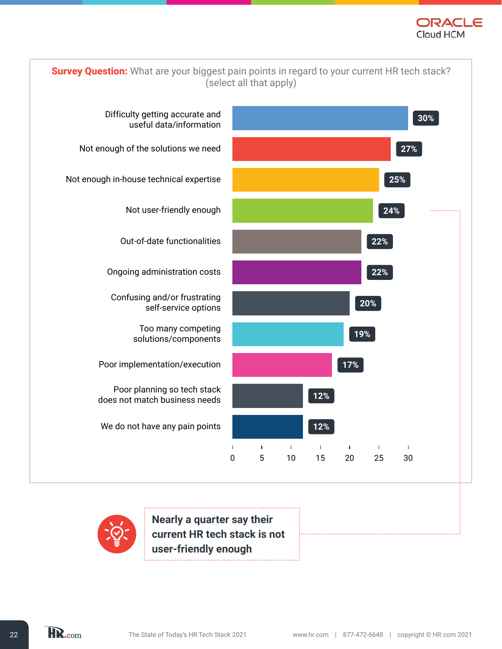



**Nearly a quarter say their current HR tech stack is not user-friendly enough**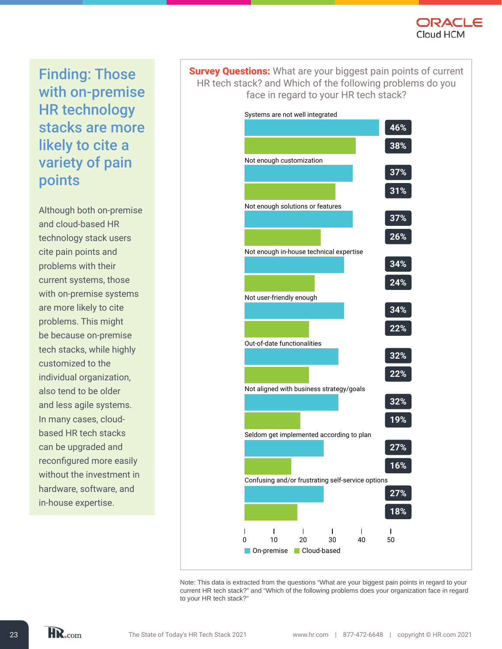

Finding: Those with on-premise HR technology stacks are more likely to cite a variety of pain points

Although both on-premise and cloud-based HR technology stack users cite pain points and problems with their current systems, those with on-premise systems are more likely to cite problems. This might be because on-premise tech stacks, while highly customized to the individual organization, also tend to be older and less agile systems. In many cases, cloudbased HR tech stacks can be upgraded and reconfigured more easily without the investment in hardware, software, and in-house expertise.

**Survey Questions:** What are your biggest pain points of current HR tech stack? and Which of the following problems do you face in regard to your HR tech stack?



Note: This data is extracted from the questions "What are your biggest pain points in regard to your current HR tech stack?" and "Which of the following problems does your organization face in regard to your HR tech stack?"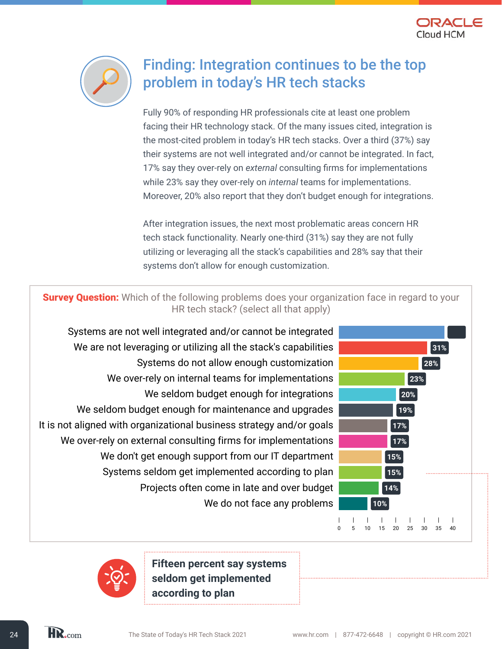



## Finding: Integration continues to be the top problem in today's HR tech stacks

Fully 90% of responding HR professionals cite at least one problem facing their HR technology stack. Of the many issues cited, integration is the most-cited problem in today's HR tech stacks. Over a third (37%) say their systems are not well integrated and/or cannot be integrated. In fact, 17% say they over-rely on *external* consulting firms for implementations while 23% say they over-rely on *internal* teams for implementations. Moreover, 20% also report that they don't budget enough for integrations.

After integration issues, the next most problematic areas concern HR tech stack functionality. Nearly one-third (31%) say they are not fully utilizing or leveraging all the stack's capabilities and 28% say that their systems don't allow for enough customization.

**Survey Question:** Which of the following problems does your organization face in regard to your HR tech stack? (select all that apply)

Systems are not well integrated and/or cannot be integrated **37%** We are not leveraging or utilizing all the stack's capabilities **All and State and State 1980** 31% Systems do not allow enough customization **28%**  We over-rely on internal teams for implementations **23%**  We seldom budget enough for integrations **20%**  We seldom budget enough for maintenance and upgrades **1988** It is not aligned with organizational business strategy and/or goals **17%**  We over-rely on external consulting firms for implementations **17%**  We don't get enough support from our IT department **15%** Systems seldom get implemented according to plan **15%**  Projects often come in late and over budget **14%** We do not face any problems **10%** 



**Fifteen percent say systems seldom get implemented according to plan**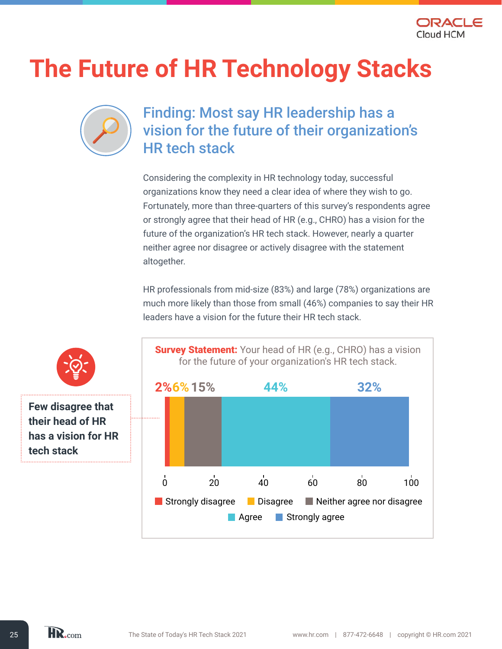

## **The Future of HR Technology Stacks**



### Finding: Most say HR leadership has a vision for the future of their organization's HR tech stack

Considering the complexity in HR technology today, successful organizations know they need a clear idea of where they wish to go. Fortunately, more than three-quarters of this survey's respondents agree or strongly agree that their head of HR (e.g., CHRO) has a vision for the future of the organization's HR tech stack. However, nearly a quarter neither agree nor disagree or actively disagree with the statement altogether.

HR professionals from mid-size (83%) and large (78%) organizations are much more likely than those from small (46%) companies to say their HR leaders have a vision for the future their HR tech stack.





**Few disagree that their head of HR has a vision for HR tech stack**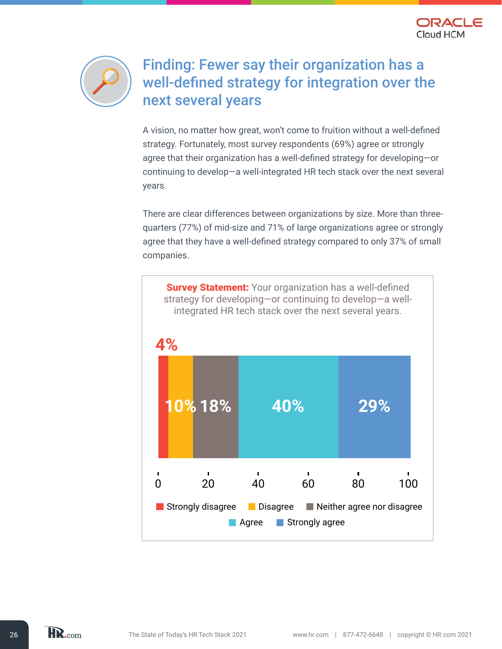



## Finding: Fewer say their organization has a well-defined strategy for integration over the next several years

A vision, no matter how great, won't come to fruition without a well-defined strategy. Fortunately, most survey respondents (69%) agree or strongly agree that their organization has a well-defined strategy for developing—or continuing to develop—a well-integrated HR tech stack over the next several years.

There are clear differences between organizations by size. More than threequarters (77%) of mid-size and 71% of large organizations agree or strongly agree that they have a well-defined strategy compared to only 37% of small companies.



HR.com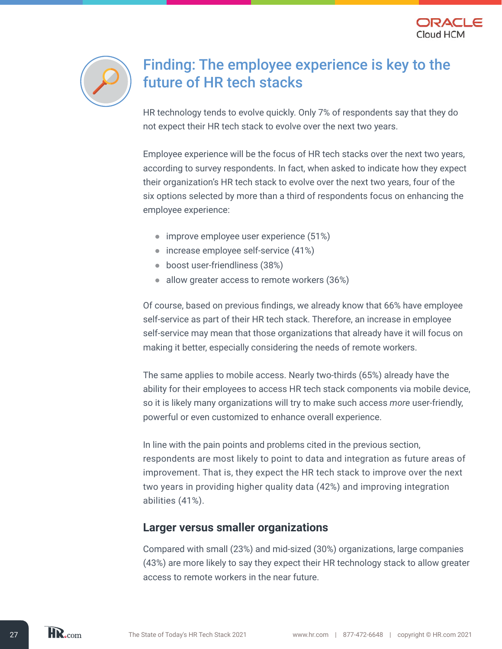



## Finding: The employee experience is key to the future of HR tech stacks

HR technology tends to evolve quickly. Only 7% of respondents say that they do not expect their HR tech stack to evolve over the next two years.

Employee experience will be the focus of HR tech stacks over the next two years, according to survey respondents. In fact, when asked to indicate how they expect their organization's HR tech stack to evolve over the next two years, four of the six options selected by more than a third of respondents focus on enhancing the employee experience:

- improve employee user experience (51%)
- increase employee self-service (41%)
- boost user-friendliness (38%)
- allow greater access to remote workers (36%)

Of course, based on previous findings, we already know that 66% have employee self-service as part of their HR tech stack. Therefore, an increase in employee self-service may mean that those organizations that already have it will focus on making it better, especially considering the needs of remote workers.

The same applies to mobile access. Nearly two-thirds (65%) already have the ability for their employees to access HR tech stack components via mobile device, so it is likely many organizations will try to make such access *more* user-friendly, powerful or even customized to enhance overall experience.

In line with the pain points and problems cited in the previous section, respondents are most likely to point to data and integration as future areas of improvement. That is, they expect the HR tech stack to improve over the next two years in providing higher quality data (42%) and improving integration abilities (41%).

#### **Larger versus smaller organizations**

Compared with small (23%) and mid-sized (30%) organizations, large companies (43%) are more likely to say they expect their HR technology stack to allow greater access to remote workers in the near future.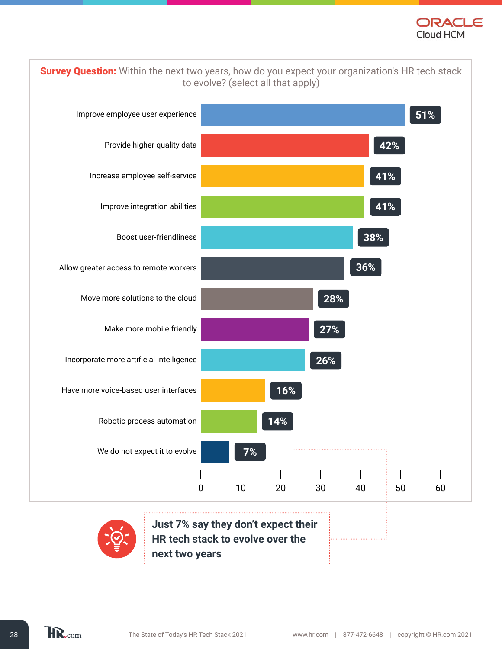

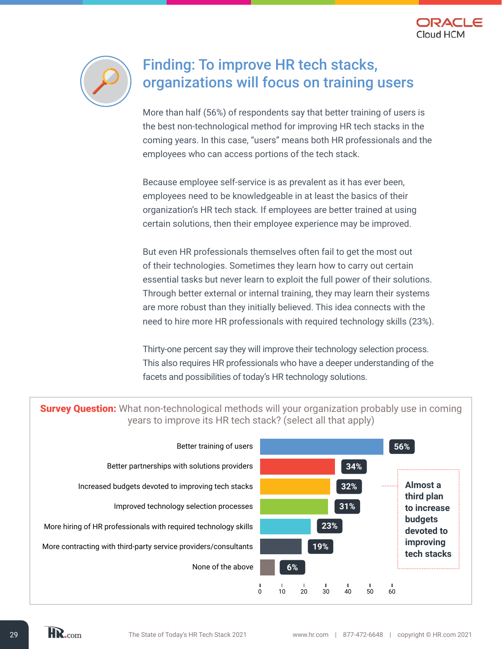



### Finding: To improve HR tech stacks, organizations will focus on training users

More than half (56%) of respondents say that better training of users is the best non-technological method for improving HR tech stacks in the coming years. In this case, "users" means both HR professionals and the employees who can access portions of the tech stack.

Because employee self-service is as prevalent as it has ever been, employees need to be knowledgeable in at least the basics of their organization's HR tech stack. If employees are better trained at using certain solutions, then their employee experience may be improved.

But even HR professionals themselves often fail to get the most out of their technologies. Sometimes they learn how to carry out certain essential tasks but never learn to exploit the full power of their solutions. Through better external or internal training, they may learn their systems are more robust than they initially believed. This idea connects with the need to hire more HR professionals with required technology skills (23%).

Thirty-one percent say they will improve their technology selection process. This also requires HR professionals who have a deeper understanding of the facets and possibilities of today's HR technology solutions.

**Survey Question:** What non-technological methods will your organization probably use in coming years to improve its HR tech stack? (select all that apply)



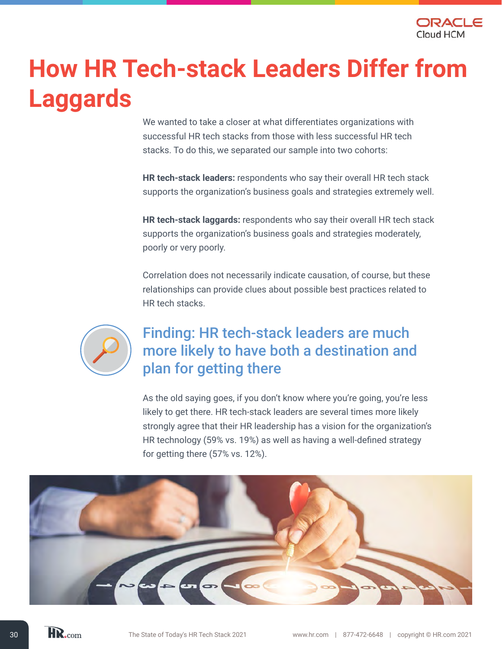

## **How HR Tech-stack Leaders Differ from Laggards**

We wanted to take a closer at what differentiates organizations with successful HR tech stacks from those with less successful HR tech stacks. To do this, we separated our sample into two cohorts:

**HR tech-stack leaders:** respondents who say their overall HR tech stack supports the organization's business goals and strategies extremely well.

**HR tech-stack laggards:** respondents who say their overall HR tech stack supports the organization's business goals and strategies moderately, poorly or very poorly.

Correlation does not necessarily indicate causation, of course, but these relationships can provide clues about possible best practices related to HR tech stacks.



## Finding: HR tech-stack leaders are much more likely to have both a destination and plan for getting there

As the old saying goes, if you don't know where you're going, you're less likely to get there. HR tech-stack leaders are several times more likely strongly agree that their HR leadership has a vision for the organization's HR technology (59% vs. 19%) as well as having a well-defined strategy for getting there (57% vs. 12%).

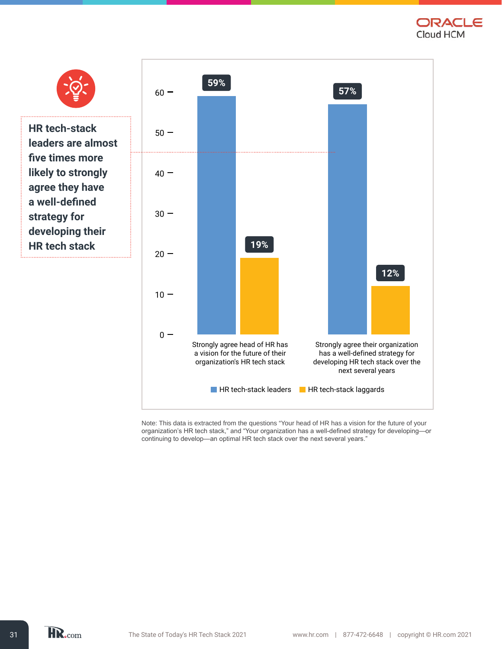ORACLE Cloud HCM



Note: This data is extracted from the questions "Your head of HR has a vision for the future of your organization's HR tech stack," and "Your organization has a well-defined strategy for developing—or continuing to develop—an optimal HR tech stack over the next several years."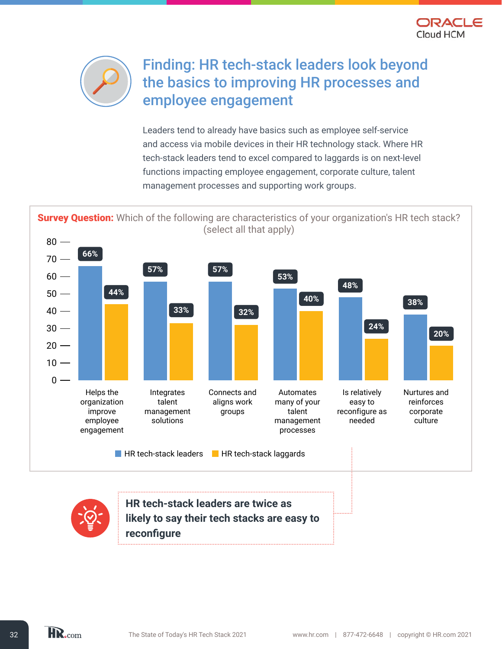



## Finding: HR tech-stack leaders look beyond the basics to improving HR processes and employee engagement

Leaders tend to already have basics such as employee self-service and access via mobile devices in their HR technology stack. Where HR tech-stack leaders tend to excel compared to laggards is on next-level functions impacting employee engagement, corporate culture, talent management processes and supporting work groups.

Survey Question: Which of the following are characteristics of your organization's HR tech stack? (select all that apply)



![](_page_31_Picture_6.jpeg)

**HR tech-stack leaders are twice as likely to say their tech stacks are easy to reconfigure**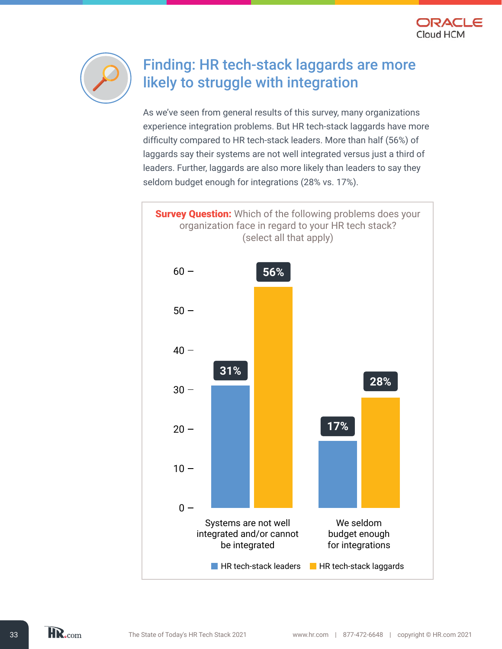![](_page_32_Picture_0.jpeg)

![](_page_32_Picture_1.jpeg)

## Finding: HR tech-stack laggards are more likely to struggle with integration

As we've seen from general results of this survey, many organizations experience integration problems. But HR tech-stack laggards have more difficulty compared to HR tech-stack leaders. More than half (56%) of laggards say their systems are not well integrated versus just a third of leaders. Further, laggards are also more likely than leaders to say they seldom budget enough for integrations (28% vs. 17%).

![](_page_32_Figure_4.jpeg)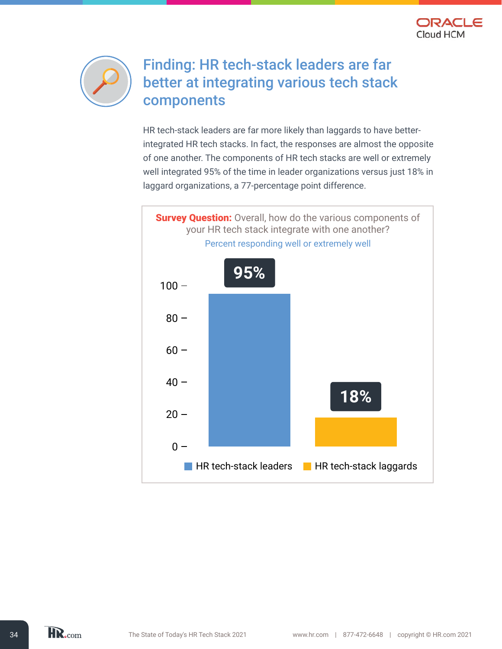![](_page_33_Picture_0.jpeg)

![](_page_33_Picture_1.jpeg)

## Finding: HR tech-stack leaders are far better at integrating various tech stack components

HR tech-stack leaders are far more likely than laggards to have betterintegrated HR tech stacks. In fact, the responses are almost the opposite of one another. The components of HR tech stacks are well or extremely well integrated 95% of the time in leader organizations versus just 18% in laggard organizations, a 77-percentage point difference.

![](_page_33_Figure_4.jpeg)

HR.com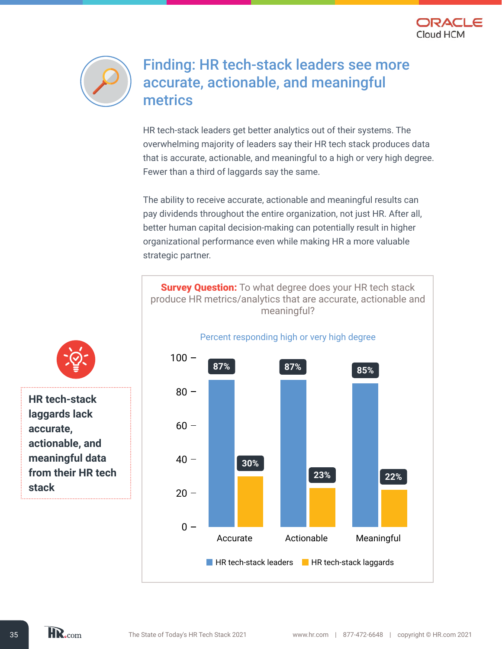![](_page_34_Picture_0.jpeg)

![](_page_34_Picture_1.jpeg)

### Finding: HR tech-stack leaders see more accurate, actionable, and meaningful metrics

HR tech-stack leaders get better analytics out of their systems. The overwhelming majority of leaders say their HR tech stack produces data that is accurate, actionable, and meaningful to a high or very high degree. Fewer than a third of laggards say the same.

The ability to receive accurate, actionable and meaningful results can pay dividends throughout the entire organization, not just HR. After all, better human capital decision-making can potentially result in higher organizational performance even while making HR a more valuable strategic partner.

![](_page_34_Figure_5.jpeg)

![](_page_34_Picture_6.jpeg)

**HR tech-stack laggards lack accurate, actionable, and meaningful data from their HR tech stack** 

HR.com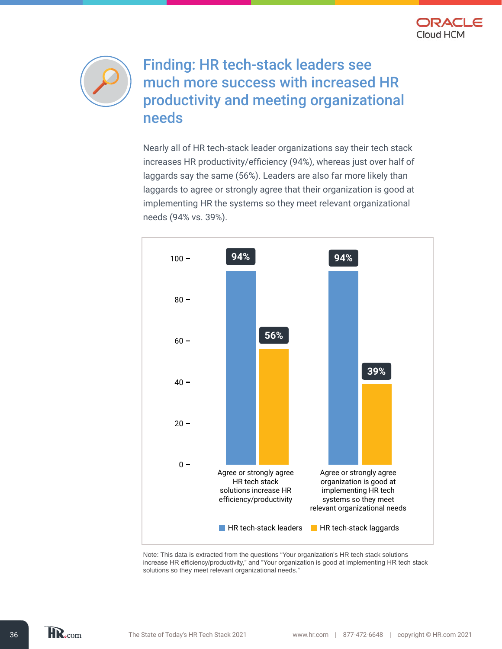![](_page_35_Picture_0.jpeg)

![](_page_35_Figure_1.jpeg)

## Finding: HR tech-stack leaders see much more success with increased HR productivity and meeting organizational needs

Nearly all of HR tech-stack leader organizations say their tech stack increases HR productivity/efficiency (94%), whereas just over half of laggards say the same (56%). Leaders are also far more likely than laggards to agree or strongly agree that their organization is good at implementing HR the systems so they meet relevant organizational needs (94% vs. 39%).

![](_page_35_Figure_4.jpeg)

Note: This data is extracted from the questions "Your organization's HR tech stack solutions increase HR efficiency/productivity," and "Your organization is good at implementing HR tech stack solutions so they meet relevant organizational needs."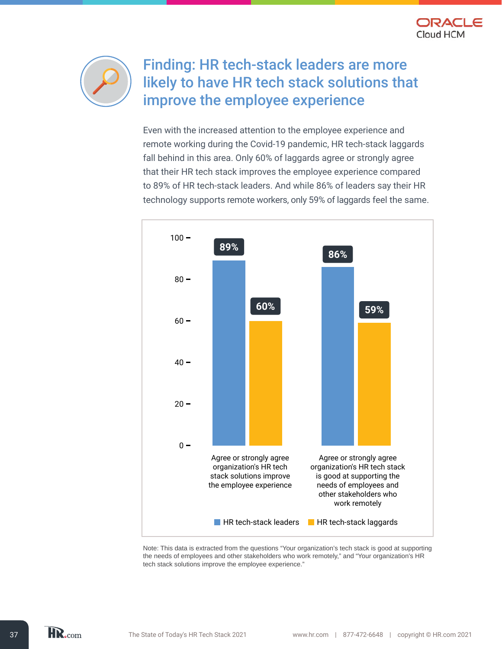![](_page_36_Picture_0.jpeg)

![](_page_36_Picture_1.jpeg)

## Finding: HR tech-stack leaders are more likely to have HR tech stack solutions that improve the employee experience

 technology supports remote workers, only 59% of laggards feel the same. Even with the increased attention to the employee experience and remote working during the Covid-19 pandemic, HR tech-stack laggards fall behind in this area. Only 60% of laggards agree or strongly agree that their HR tech stack improves the employee experience compared to 89% of HR tech-stack leaders. And while 86% of leaders say their HR

![](_page_36_Figure_4.jpeg)

Note: This data is extracted from the questions "Your organization's tech stack is good at supporting the needs of employees and other stakeholders who work remotely," and "Your organization's HR tech stack solutions improve the employee experience."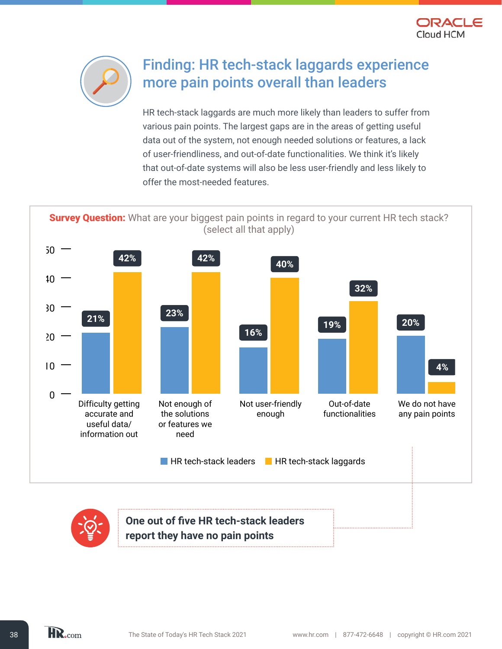![](_page_37_Picture_0.jpeg)

![](_page_37_Picture_1.jpeg)

## Finding: HR tech-stack laggards experience more pain points overall than leaders

HR tech-stack laggards are much more likely than leaders to suffer from various pain points. The largest gaps are in the areas of getting useful data out of the system, not enough needed solutions or features, a lack of user-friendliness, and out-of-date functionalities. We think it's likely that out-of-date systems will also be less user-friendly and less likely to offer the most-needed features.

**Survey Question:** What are your biggest pain points in regard to your current HR tech stack? (select all that apply)

![](_page_37_Figure_5.jpeg)

![](_page_37_Picture_6.jpeg)

**One out of five HR tech-stack leaders report they have no pain points**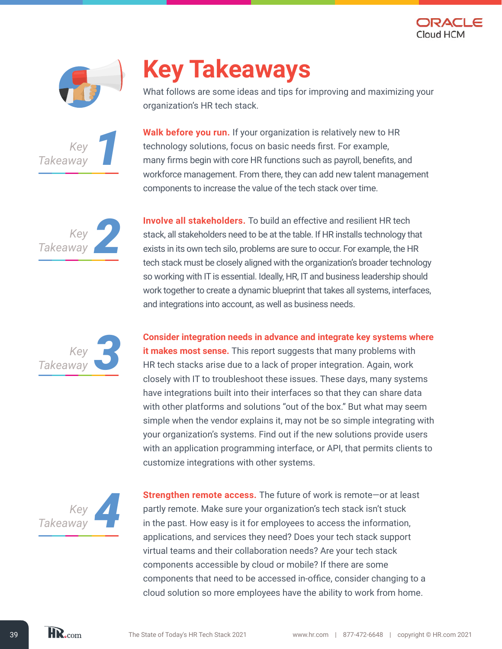![](_page_38_Picture_0.jpeg)

![](_page_38_Picture_1.jpeg)

![](_page_38_Picture_2.jpeg)

## **Key Takeaways**

What follows are some ideas and tips for improving and maximizing your organization's HR tech stack.

**Walk before you run.** If your organization is relatively new to HR technology solutions, focus on basic needs first. For example, many firms begin with core HR functions such as payroll, benefits, and workforce management. From there, they can add new talent management components to increase the value of the tech stack over time.

![](_page_38_Picture_6.jpeg)

*3Key*

*Takeaway*

**Involve all stakeholders.** To build an effective and resilient HR tech stack, all stakeholders need to be at the table. If HR installs technology that exists in its own tech silo, problems are sure to occur. For example, the HR tech stack must be closely aligned with the organization's broader technology so working with IT is essential. Ideally, HR, IT and business leadership should work together to create a dynamic blueprint that takes all systems, interfaces, and integrations into account, as well as business needs.

**Consider integration needs in advance and integrate key systems where it makes most sense.** This report suggests that many problems with HR tech stacks arise due to a lack of proper integration. Again, work closely with IT to troubleshoot these issues. These days, many systems have integrations built into their interfaces so that they can share data with other platforms and solutions "out of the box." But what may seem simple when the vendor explains it, may not be so simple integrating with your organization's systems. Find out if the new solutions provide users with an application programming interface, or API, that permits clients to customize integrations with other systems.

![](_page_38_Picture_9.jpeg)

**Strengthen remote access.** The future of work is remote—or at least partly remote. Make sure your organization's tech stack isn't stuck in the past. How easy is it for employees to access the information, applications, and services they need? Does your tech stack support virtual teams and their collaboration needs? Are your tech stack components accessible by cloud or mobile? If there are some components that need to be accessed in-office, consider changing to a cloud solution so more employees have the ability to work from home.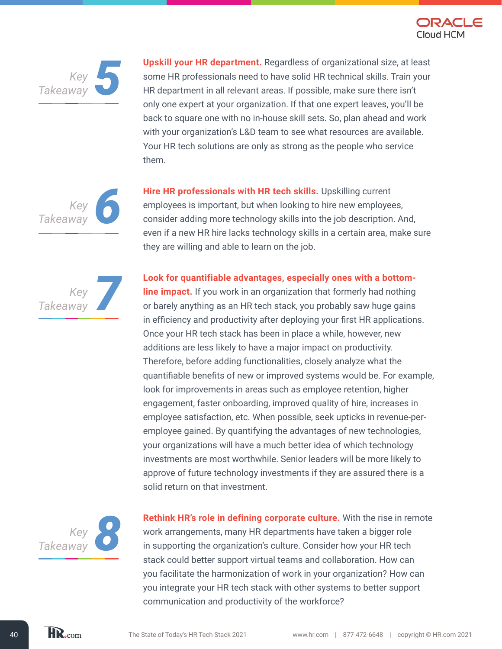![](_page_39_Picture_0.jpeg)

![](_page_39_Picture_1.jpeg)

**Upskill your HR department.** Regardless of organizational size, at least some HR professionals need to have solid HR technical skills. Train your HR department in all relevant areas. If possible, make sure there isn't only one expert at your organization. If that one expert leaves, you'll be back to square one with no in-house skill sets. So, plan ahead and work with your organization's L&D team to see what resources are available. Your HR tech solutions are only as strong as the people who service them.

![](_page_39_Picture_3.jpeg)

**Hire HR professionals with HR tech skills.** Upskilling current employees is important, but when looking to hire new employees, consider adding more technology skills into the job description. And, even if a new HR hire lacks technology skills in a certain area, make sure they are willing and able to learn on the job.

**Look for quantifiable advantages, especially ones with a bottom-**

*<i><i>Xey*<br>*Way*<br>**7** *Takeaway*

**line impact.** If you work in an organization that formerly had nothing or barely anything as an HR tech stack, you probably saw huge gains in efficiency and productivity after deploying your first HR applications. Once your HR tech stack has been in place a while, however, new additions are less likely to have a major impact on productivity. Therefore, before adding functionalities, closely analyze what the quantifiable benefits of new or improved systems would be. For example, look for improvements in areas such as employee retention, higher engagement, faster onboarding, improved quality of hire, increases in employee satisfaction, etc. When possible, seek upticks in revenue-peremployee gained. By quantifying the advantages of new technologies, your organizations will have a much better idea of which technology investments are most worthwhile. Senior leaders will be more likely to approve of future technology investments if they are assured there is a solid return on that investment.

![](_page_39_Picture_7.jpeg)

**Rethink HR's role in defining corporate culture.** With the rise in remote work arrangements, many HR departments have taken a bigger role in supporting the organization's culture. Consider how your HR tech stack could better support virtual teams and collaboration. How can you facilitate the harmonization of work in your organization? How can you integrate your HR tech stack with other systems to better support communication and productivity of the workforce?